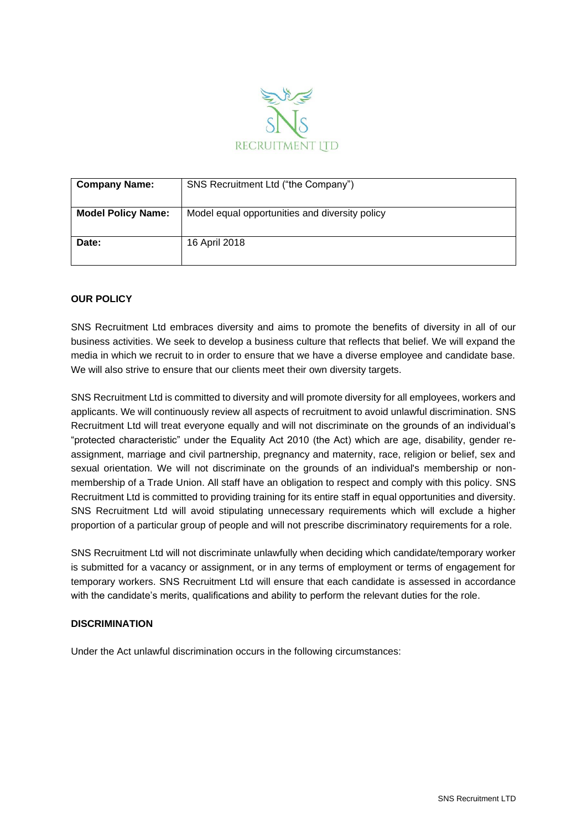

| <b>Company Name:</b>      | SNS Recruitment Ltd ("the Company")            |
|---------------------------|------------------------------------------------|
| <b>Model Policy Name:</b> | Model equal opportunities and diversity policy |
| Date:                     | 16 April 2018                                  |

# **OUR POLICY**

SNS Recruitment Ltd embraces diversity and aims to promote the benefits of diversity in all of our business activities. We seek to develop a business culture that reflects that belief. We will expand the media in which we recruit to in order to ensure that we have a diverse employee and candidate base. We will also strive to ensure that our clients meet their own diversity targets.

SNS Recruitment Ltd is committed to diversity and will promote diversity for all employees, workers and applicants. We will continuously review all aspects of recruitment to avoid unlawful discrimination. SNS Recruitment Ltd will treat everyone equally and will not discriminate on the grounds of an individual's "protected characteristic" under the Equality Act 2010 (the Act) which are age, disability, gender reassignment, marriage and civil partnership, pregnancy and maternity, race, religion or belief, sex and sexual orientation. We will not discriminate on the grounds of an individual's membership or nonmembership of a Trade Union. All staff have an obligation to respect and comply with this policy. SNS Recruitment Ltd is committed to providing training for its entire staff in equal opportunities and diversity. SNS Recruitment Ltd will avoid stipulating unnecessary requirements which will exclude a higher proportion of a particular group of people and will not prescribe discriminatory requirements for a role.

SNS Recruitment Ltd will not discriminate unlawfully when deciding which candidate/temporary worker is submitted for a vacancy or assignment, or in any terms of employment or terms of engagement for temporary workers. SNS Recruitment Ltd will ensure that each candidate is assessed in accordance with the candidate's merits, qualifications and ability to perform the relevant duties for the role.

### **DISCRIMINATION**

Under the Act unlawful discrimination occurs in the following circumstances: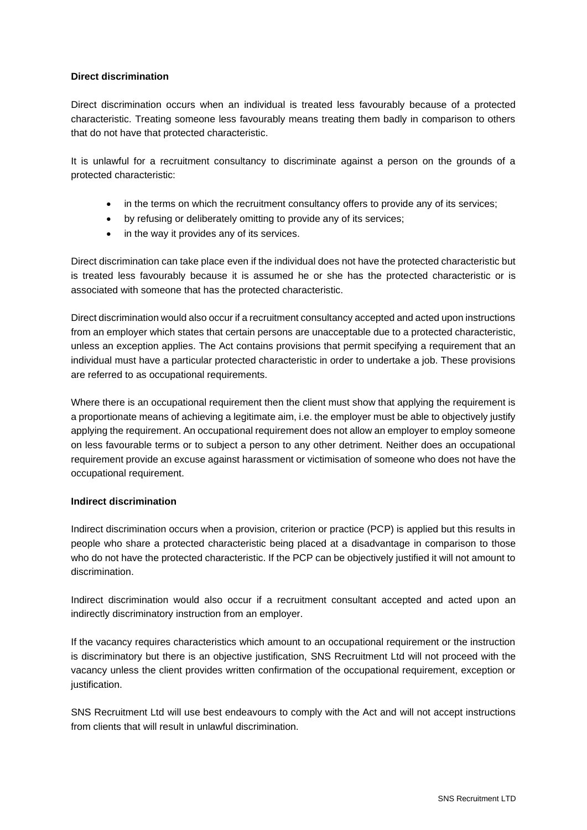## **Direct discrimination**

Direct discrimination occurs when an individual is treated less favourably because of a protected characteristic. Treating someone less favourably means treating them badly in comparison to others that do not have that protected characteristic.

It is unlawful for a recruitment consultancy to discriminate against a person on the grounds of a protected characteristic:

- in the terms on which the recruitment consultancy offers to provide any of its services;
- by refusing or deliberately omitting to provide any of its services;
- in the way it provides any of its services.

Direct discrimination can take place even if the individual does not have the protected characteristic but is treated less favourably because it is assumed he or she has the protected characteristic or is associated with someone that has the protected characteristic.

Direct discrimination would also occur if a recruitment consultancy accepted and acted upon instructions from an employer which states that certain persons are unacceptable due to a protected characteristic, unless an exception applies. The Act contains provisions that permit specifying a requirement that an individual must have a particular protected characteristic in order to undertake a job. These provisions are referred to as occupational requirements.

Where there is an occupational requirement then the client must show that applying the requirement is a proportionate means of achieving a legitimate aim, i.e. the employer must be able to objectively justify applying the requirement. An occupational requirement does not allow an employer to employ someone on less favourable terms or to subject a person to any other detriment. Neither does an occupational requirement provide an excuse against harassment or victimisation of someone who does not have the occupational requirement.

# **Indirect discrimination**

Indirect discrimination occurs when a provision, criterion or practice (PCP) is applied but this results in people who share a protected characteristic being placed at a disadvantage in comparison to those who do not have the protected characteristic. If the PCP can be objectively justified it will not amount to discrimination.

Indirect discrimination would also occur if a recruitment consultant accepted and acted upon an indirectly discriminatory instruction from an employer.

If the vacancy requires characteristics which amount to an occupational requirement or the instruction is discriminatory but there is an objective justification, SNS Recruitment Ltd will not proceed with the vacancy unless the client provides written confirmation of the occupational requirement, exception or justification.

SNS Recruitment Ltd will use best endeavours to comply with the Act and will not accept instructions from clients that will result in unlawful discrimination.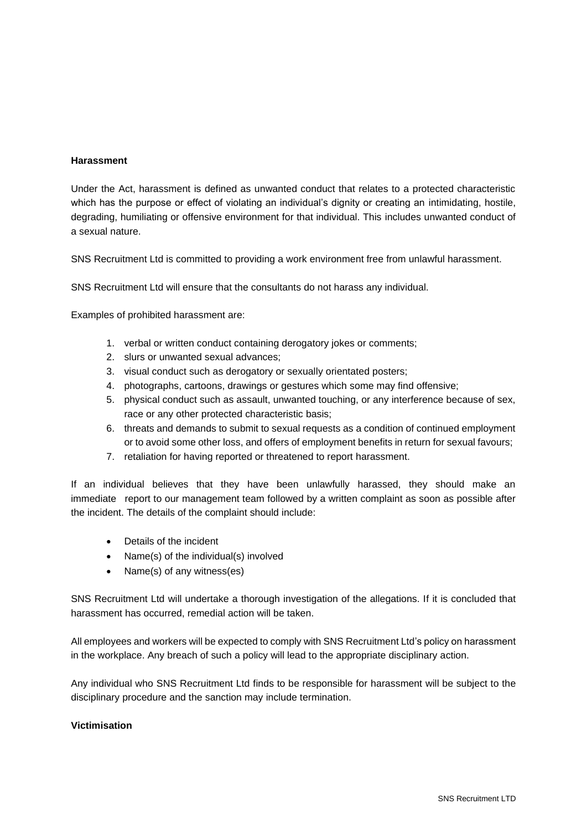## **Harassment**

Under the Act, harassment is defined as unwanted conduct that relates to a protected characteristic which has the purpose or effect of violating an individual's dignity or creating an intimidating, hostile, degrading, humiliating or offensive environment for that individual. This includes unwanted conduct of a sexual nature.

SNS Recruitment Ltd is committed to providing a work environment free from unlawful harassment.

SNS Recruitment Ltd will ensure that the consultants do not harass any individual.

Examples of prohibited harassment are:

- 1. verbal or written conduct containing derogatory jokes or comments;
- 2. slurs or unwanted sexual advances;
- 3. visual conduct such as derogatory or sexually orientated posters;
- 4. photographs, cartoons, drawings or gestures which some may find offensive;
- 5. physical conduct such as assault, unwanted touching, or any interference because of sex, race or any other protected characteristic basis;
- 6. threats and demands to submit to sexual requests as a condition of continued employment or to avoid some other loss, and offers of employment benefits in return for sexual favours;
- 7. retaliation for having reported or threatened to report harassment.

If an individual believes that they have been unlawfully harassed, they should make an immediate report to our management team followed by a written complaint as soon as possible after the incident. The details of the complaint should include:

- Details of the incident
- Name(s) of the individual(s) involved
- Name(s) of any witness(es)

SNS Recruitment Ltd will undertake a thorough investigation of the allegations. If it is concluded that harassment has occurred, remedial action will be taken.

All employees and workers will be expected to comply with SNS Recruitment Ltd's policy on harassment in the workplace. Any breach of such a policy will lead to the appropriate disciplinary action.

Any individual who SNS Recruitment Ltd finds to be responsible for harassment will be subject to the disciplinary procedure and the sanction may include termination.

### **Victimisation**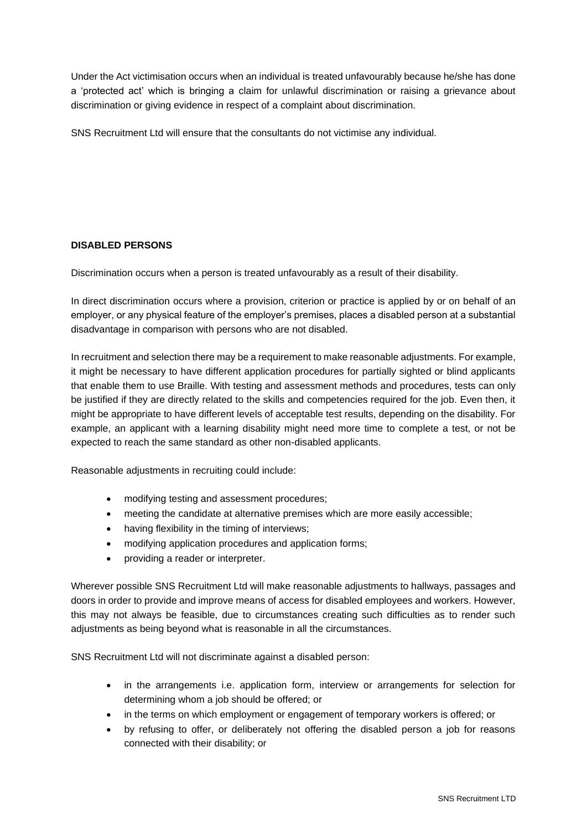Under the Act victimisation occurs when an individual is treated unfavourably because he/she has done a 'protected act' which is bringing a claim for unlawful discrimination or raising a grievance about discrimination or giving evidence in respect of a complaint about discrimination.

SNS Recruitment Ltd will ensure that the consultants do not victimise any individual.

# **DISABLED PERSONS**

Discrimination occurs when a person is treated unfavourably as a result of their disability.

In direct discrimination occurs where a provision, criterion or practice is applied by or on behalf of an employer, or any physical feature of the employer's premises, places a disabled person at a substantial disadvantage in comparison with persons who are not disabled.

In recruitment and selection there may be a requirement to make reasonable adjustments. For example, it might be necessary to have different application procedures for partially sighted or blind applicants that enable them to use Braille. With testing and assessment methods and procedures, tests can only be justified if they are directly related to the skills and competencies required for the job. Even then, it might be appropriate to have different levels of acceptable test results, depending on the disability. For example, an applicant with a learning disability might need more time to complete a test, or not be expected to reach the same standard as other non-disabled applicants.

Reasonable adjustments in recruiting could include:

- modifying testing and assessment procedures;
- meeting the candidate at alternative premises which are more easily accessible;
- having flexibility in the timing of interviews;
- modifying application procedures and application forms;
- providing a reader or interpreter.

Wherever possible SNS Recruitment Ltd will make reasonable adjustments to hallways, passages and doors in order to provide and improve means of access for disabled employees and workers. However, this may not always be feasible, due to circumstances creating such difficulties as to render such adjustments as being beyond what is reasonable in all the circumstances.

SNS Recruitment Ltd will not discriminate against a disabled person:

- in the arrangements i.e. application form, interview or arrangements for selection for determining whom a job should be offered; or
- in the terms on which employment or engagement of temporary workers is offered; or
- by refusing to offer, or deliberately not offering the disabled person a job for reasons connected with their disability; or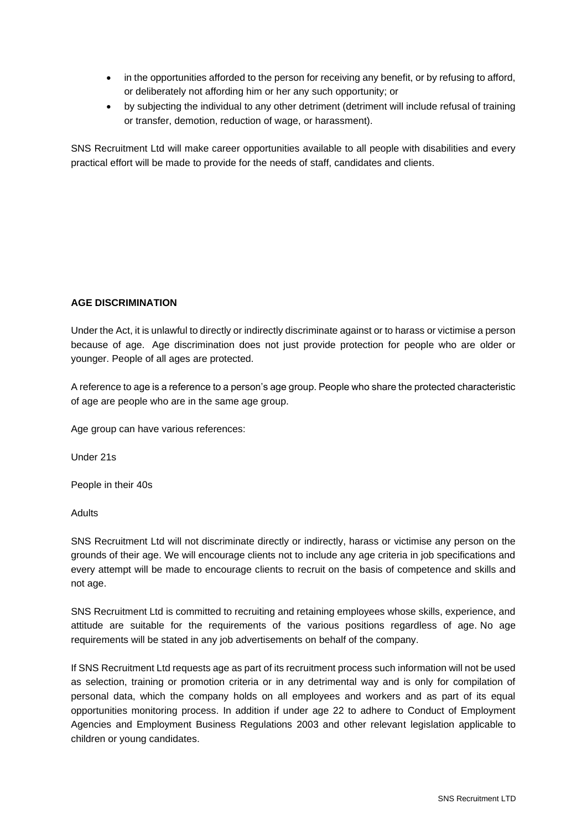- in the opportunities afforded to the person for receiving any benefit, or by refusing to afford, or deliberately not affording him or her any such opportunity; or
- by subjecting the individual to any other detriment (detriment will include refusal of training or transfer, demotion, reduction of wage, or harassment).

SNS Recruitment Ltd will make career opportunities available to all people with disabilities and every practical effort will be made to provide for the needs of staff, candidates and clients.

# **AGE DISCRIMINATION**

Under the Act, it is unlawful to directly or indirectly discriminate against or to harass or victimise a person because of age. Age discrimination does not just provide protection for people who are older or younger. People of all ages are protected.

A reference to age is a reference to a person's age group. People who share the protected characteristic of age are people who are in the same age group.

Age group can have various references:

Under 21s

People in their 40s

Adults

SNS Recruitment Ltd will not discriminate directly or indirectly, harass or victimise any person on the grounds of their age. We will encourage clients not to include any age criteria in job specifications and every attempt will be made to encourage clients to recruit on the basis of competence and skills and not age.

SNS Recruitment Ltd is committed to recruiting and retaining employees whose skills, experience, and attitude are suitable for the requirements of the various positions regardless of age. No age requirements will be stated in any job advertisements on behalf of the company.

If SNS Recruitment Ltd requests age as part of its recruitment process such information will not be used as selection, training or promotion criteria or in any detrimental way and is only for compilation of personal data, which the company holds on all employees and workers and as part of its equal opportunities monitoring process. In addition if under age 22 to adhere to Conduct of Employment Agencies and Employment Business Regulations 2003 and other relevant legislation applicable to children or young candidates.